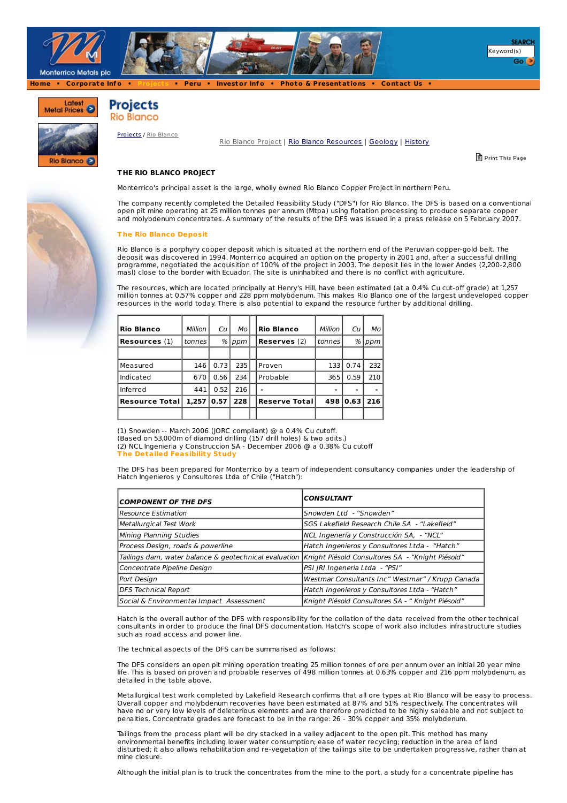

Latest Metal Prices



**Projects Rio Blanco** 



[Projects](http://www.monterrico.com/s/Projects.asp) / Rio [Blanco](http://www.monterrico.com/s/RioBlanco.asp?ReportID=144255)

Rio Blanco [Project](http://www.monterrico.com/s/RioBlanco.asp?ReportID=144255) | Rio Blanco [Resources](http://www.monterrico.com/s/RioBlanco.asp?ReportID=141120) | [Geology](http://www.monterrico.com/s/RioBlanco.asp?ReportID=76406) | [History](http://www.monterrico.com/s/RioBlanco.asp?ReportID=144271)

Print This Page

# **T HE RIO BLANCO PROJECT**

Monterrico's principal asset is the large, wholly owned Rio Blanco Copper Project in northern Peru.

The company recently completed the Detailed Feasibility Study ("DFS") for Rio Blanco. The DFS is based on a conventional open pit mine operating at 25 million tonnes per annum (Mtpa) using flotation processing to produce separate copper and molybdenum concentrates. A summary of the results of the DFS was issued in a press release on 5 February 2007.

#### **T he Rio Blanco Deposit**

Rio Blanco is a porphyry copper deposit which is situated at the northern end of the Peruvian copper-gold belt. The deposit was discovered in 1994. Monterrico acquired an option on the property in 2001 and, after a successful drilling programme, negotiated the acquisition of 100% of the project in 2003. The deposit lies in the lower Andes (2,200-2,800 masl) close to the border with Ecuador. The site is uninhabited and there is no conflict with agriculture.

The resources, which are located principally at Henry's Hill, have been estimated (at a 0.4% Cu cut-off grade) at 1,257 million tonnes at 0.57% copper and 228 ppm molybdenum. This makes Rio Blanco one of the largest undeveloped copper resources in the world today. There is also potential to expand the resource further by additional drilling.

| Rio Blanco             | Million | Cи   | Мo  | <b>Rio Blanco</b>    | Million | Cи   | Мo  |
|------------------------|---------|------|-----|----------------------|---------|------|-----|
| <b>Resources</b> (1)   | tonnes  | %    | ppm | <b>Reserves</b> (2)  | tonnes  | %    | ppm |
|                        |         |      |     |                      |         |      |     |
| Measured               | 146     | 0.73 | 235 | Proven               | 133 l   | 0.74 | 232 |
| Indicated              | 670     | 0.56 | 234 | Probable             | 365     | 0.59 | 210 |
| Inferred               | 441     | 0.52 | 216 |                      |         |      | -   |
| <b>Resource Totall</b> | 1.257   | 0.57 | 228 | <b>Reserve Total</b> | 498     | 0.63 | 216 |
|                        |         |      |     |                      |         |      |     |

(1) Snowden -- March 2006 (JORC compliant) @ a 0.4% Cu cutoff.

(Based on 53,000m of diamond drilling (157 drill holes) & two adits.)

(2) NCL Ingenieria y Construccion SA - December 2006 @ a 0.38% Cu cutoff

**T he Detailed Feasibility Study**

The DFS has been prepared for Monterrico by a team of independent consultancy companies under the leadership of Hatch Ingenieros y Consultores Ltda of Chile ("Hatch"):

| <b>COMPONENT OF THE DFS</b>                                                                              | <b>CONSULTANT</b>                                 |
|----------------------------------------------------------------------------------------------------------|---------------------------------------------------|
| Resource Estimation                                                                                      | Snowden Ltd - "Snowden"                           |
| Metallurgical Test Work                                                                                  | SGS Lakefield Research Chile SA - "Lakefield"     |
| Mining Planning Studies                                                                                  | NCL Ingenería y Construcción SA, - "NCL"          |
| Process Design, roads & powerline                                                                        | Hatch Ingenieros y Consultores Ltda - "Hatch"     |
| Tailings dam, water balance & geotechnical evaluation   Knight Piésold Consultores SA - "Knight Piésold" |                                                   |
| Concentrate Pipeline Design                                                                              | PSI IRI Ingeneria Ltda - "PSI"                    |
| Port Design                                                                                              | Westmar Consultants Inc" Westmar" / Krupp Canada  |
| DFS Technical Report                                                                                     | Hatch Ingenieros y Consultores Ltda - "Hatch"     |
| Social & Environmental Impact Assessment                                                                 | Knight Piésold Consultores SA - " Knight Piésold" |

Hatch is the overall author of the DFS with responsibility for the collation of the data received from the other technical consultants in order to produce the final DFS documentation. Hatch's scope of work also includes infrastructure studies such as road access and power line.

The technical aspects of the DFS can be summarised as follows:

The DFS considers an open pit mining operation treating 25 million tonnes of ore per annum over an initial 20 year mine life. This is based on proven and probable reserves of 498 million tonnes at 0.63% copper and 216 ppm molybdenum, as detailed in the table above.

Metallurgical test work completed by Lakefield Research confirms that all ore types at Rio Blanco will be easy to process. Overall copper and molybdenum recoveries have been estimated at 87% and 51% respectively. The concentrates will have no or very low levels of deleterious elements and are therefore predicted to be highly saleable and not subject to penalties. Concentrate grades are forecast to be in the range: 26 - 30% copper and 35% molybdenum.

Tailings from the process plant will be dry stacked in a valley adjacent to the open pit. This method has many environmental benefits including lower water consumption; ease of water recycling; reduction in the area of land disturbed; it also allows rehabilitation and re-vegetation of the tailings site to be undertaken progressive, rather than at mine closure.

Although the initial plan is to truck the concentrates from the mine to the port, a study for a concentrate pipeline has